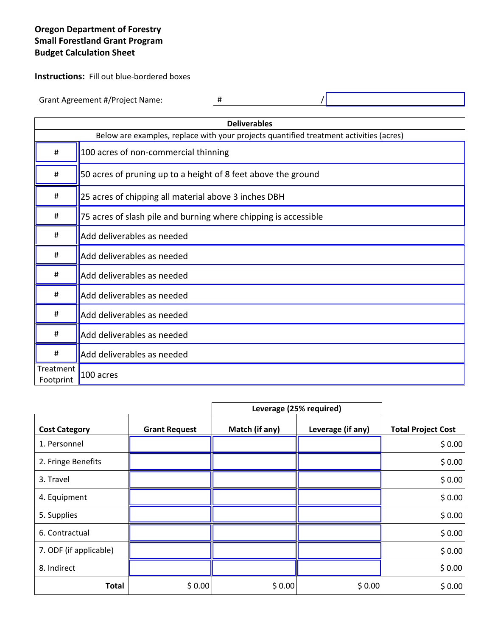## **Oregon Department of Forestry Small Forestland Grant Program Budget Calculation Sheet**

**Instructions:** Fill out blue-bordered boxes

Grant Agreement #/Project Name: # /

| <b>Deliverables</b>                                                                    |                                                                 |  |  |  |
|----------------------------------------------------------------------------------------|-----------------------------------------------------------------|--|--|--|
| Below are examples, replace with your projects quantified treatment activities (acres) |                                                                 |  |  |  |
| #                                                                                      | 100 acres of non-commercial thinning                            |  |  |  |
| #                                                                                      | 50 acres of pruning up to a height of 8 feet above the ground   |  |  |  |
| #                                                                                      | 25 acres of chipping all material above 3 inches DBH            |  |  |  |
| #                                                                                      | 75 acres of slash pile and burning where chipping is accessible |  |  |  |
| #                                                                                      | Add deliverables as needed                                      |  |  |  |
| #                                                                                      | Add deliverables as needed                                      |  |  |  |
| #                                                                                      | Add deliverables as needed                                      |  |  |  |
| #                                                                                      | Add deliverables as needed                                      |  |  |  |
| #                                                                                      | Add deliverables as needed                                      |  |  |  |
| #                                                                                      | Add deliverables as needed                                      |  |  |  |
| #                                                                                      | Add deliverables as needed                                      |  |  |  |
| Treatment<br>Footprint                                                                 | 100 acres                                                       |  |  |  |

|                        |                      | Leverage (25% required) |                   |                           |
|------------------------|----------------------|-------------------------|-------------------|---------------------------|
| <b>Cost Category</b>   | <b>Grant Request</b> | Match (if any)          | Leverage (if any) | <b>Total Project Cost</b> |
| 1. Personnel           |                      |                         |                   | \$0.00                    |
| 2. Fringe Benefits     |                      |                         |                   | \$0.00                    |
| 3. Travel              |                      |                         |                   | \$0.00                    |
| 4. Equipment           |                      |                         |                   | \$0.00                    |
| 5. Supplies            |                      |                         |                   | \$0.00                    |
| 6. Contractual         |                      |                         |                   | \$0.00                    |
| 7. ODF (if applicable) |                      |                         |                   | \$0.00                    |
| 8. Indirect            |                      |                         |                   | \$0.00                    |
| <b>Total</b>           | \$0.00               | \$0.00                  | \$0.00            | \$0.00                    |